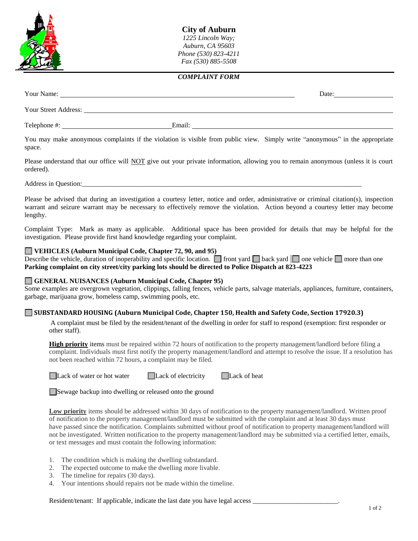

**City of Auburn** *1225 Lincoln Way; Auburn, CA 95603 Phone (530) 823-4211 Fax (530) 885-5508* 

## *COMPLAINT FORM*

| Your Name:           |        | Date: |
|----------------------|--------|-------|
| Your Street Address: |        |       |
| Telephone #:         | Email: |       |

You may make anonymous complaints if the violation is visible from public view. Simply write "anonymous" in the appropriate space.

Please understand that our office will **NOT** give out your private information, allowing you to remain anonymous (unless it is court ordered).

Address in Question:

Please be advised that during an investigation a courtesy letter, notice and order, administrative or criminal citation(s), inspection warrant and seizure warrant may be necessary to effectively remove the violation. Action beyond a courtesy letter may become lengthy.

Complaint Type: Mark as many as applicable. Additional space has been provided for details that may be helpful for the investigation. Please provide first hand knowledge regarding your complaint.

## **VEHICLES (Auburn Municipal Code, Chapter 72, 90, and 95)**

Describe the vehicle, duration of inoperability and specific location.  $\Box$  front yard  $\Box$  back yard  $\Box$  one vehicle  $\Box$  more than one **Parking complaint on city street/city parking lots should be directed to Police Dispatch at 823-4223**

## **GENERAL NUISANCES (Auburn Municipal Code, Chapter 95)**

Some examples are overgrown vegetation, clippings, falling fences, vehicle parts, salvage materials, appliances, furniture, containers, garbage, marijuana grow, homeless camp, swimming pools, etc.

## **SUBSTANDARD HOUSING (Auburn Municipal Code, Chapter 150, Health and Safety Code, Section 17920.3)**

A complaint must be filed by the resident/tenant of the dwelling in order for staff to respond (exemption: first responder or other staff).

**High priority** items must be repaired within 72 hours of notification to the property management/landlord before filing a complaint. Individuals must first notify the property management/landlord and attempt to resolve the issue. If a resolution has not been reached within 72 hours, a complaint may be filed.

| Lack of water or hot |
|----------------------|
|----------------------|

water  $\Box$  Lack of electricity  $\Box$  Lack of heat

Sewage backup into dwelling or released onto the ground

**Low priority** items should be addressed within 30 days of notification to the property management/landlord. Written proof of notification to the property management/landlord must be submitted with the complaint and at least 30 days must have passed since the notification. Complaints submitted without proof of notification to property management/landlord will not be investigated. Written notification to the property management/landlord may be submitted via a certified letter, emails, or text messages and must contain the following information:

- 1. The condition which is making the dwelling substandard.
- 2. The expected outcome to make the dwelling more livable.
- 3. The timeline for repairs (30 days).
- 4. Your intentions should repairs not be made within the timeline.

Resident/tenant: If applicable, indicate the last date you have legal access